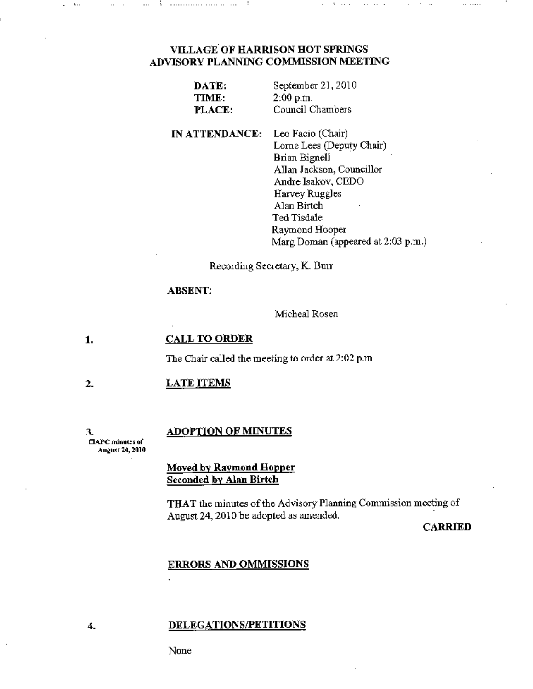### **VILLAGE OF HARRISON HOT SPRINGS** ADVISORY PLANNING COMMISSION MEETING

| DATE:  | September 21, 2010 |
|--------|--------------------|
| TIME:  | 2:00 p.m.          |
| PLACE: | Council Chambers   |

IN ATTENDANCE: Leo Facio (Chair) Lorne Lees (Deputy Chair) Brian Bignell Allan Jackson, Councillor Andre Isakov, CEDO Harvey Ruggles Alan Birtch Ted Tisdale Raymond Hooper Marg Doman (appeared at 2:03 p.m.)

Recording Secretary, K. Burr

#### **ABSENT:**

Micheal Rosen

#### **CALL TO ORDER** 1.

The Chair called the meeting to order at 2:02 p.m.

#### $\overline{2}$ . **LATE ITEMS**

3. □APC minutes of August 24, 2010

4.

# **ADOPTION OF MINUTES**

**Moved by Raymond Hopper** Seconded by Alan Birtch

THAT the minutes of the Advisory Planning Commission meeting of August 24, 2010 be adopted as amended.

**CARRIED** 

 $\ddot{\phantom{a}}$ 

#### **ERRORS AND OMMISSIONS**

#### DELEGATIONS/PETITIONS

None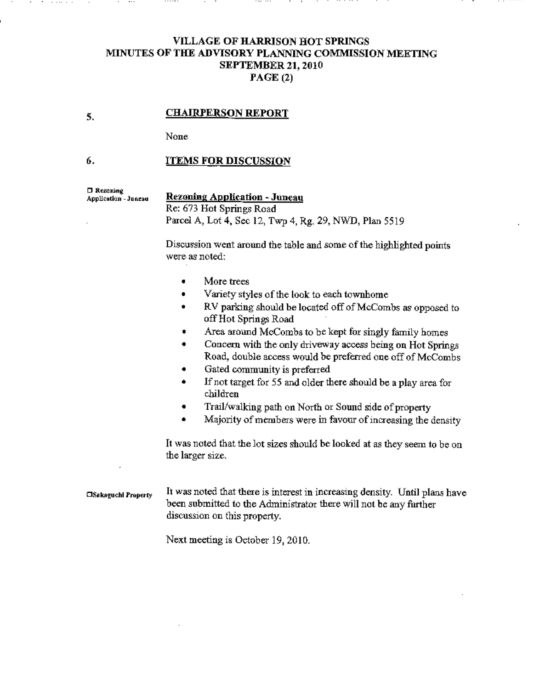## VILLAGE OF HARRISON HOT SPRINGS MINUTES OF THE ADVISORY PLANNING COMMISSION MEETING SEPTEMBER 21, 2010 PAGE (2)

#### CHAIRPERSON REPORT

None

#### 6. ITEMS FOR DISCUSSION

D Rezoning Application - Juneau

5.

# Rezoning Application- Juneau

Re: 673 Hot Springs Road Pared A, Lot 4, Sec 12, Twp 4, Rg. 29, NWD, Plan 5519

Discussion went around the table and some of the highlighted points were as noted:

- More trees
- Variety styles of the look to each townhome
- RV parking should be located off of McCombs as opposed to offHot Springs Road
- Area around McCombs to be kept for singly family homes
- Concern with the only driveway access being on Hot Springs Road, double access would be preferred one off of McCombs
- Gated community is preferred
- If not target for *55* and older there should be a play area for children
- Trail/walking path on North or Sound side of property
- Majority of members were in favour of increasing the density

It was noted that the lot sizes should be looked at as they seem to be on the larger size.

 $\Box$ Sakaguchl Property It was noted that there is interest in increasing density. Until plans have been submitted to the Administrator there will not be any further discussion on this property.

Next meeting is October 19, 2010.